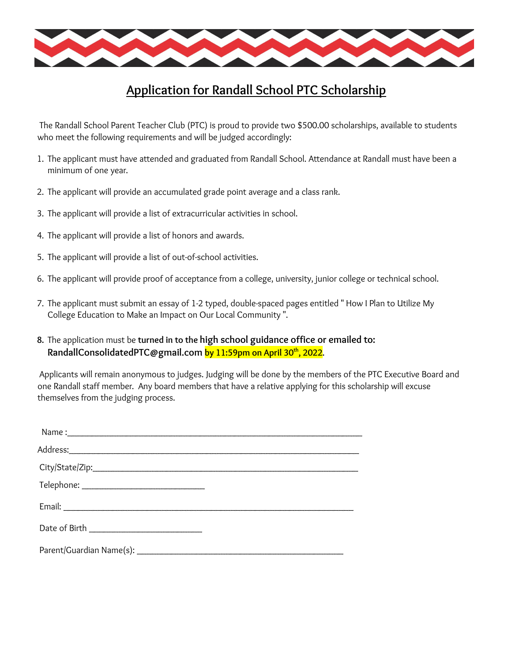

## **Application for Randall School PTC Scholarship**

The Randall School Parent Teacher Club (PTC) is proud to provide two \$500.00 scholarships, available to students who meet the following requirements and will be judged accordingly:

- 1. The applicant must have attended and graduated from Randall School. Attendance at Randall must have been a minimum of one year.
- 2. The applicant will provide an accumulated grade point average and a class rank.
- 3. The applicant will provide a list of extracurricular activities in school.
- 4. The applicant will provide a list of honors and awards.
- 5. The applicant will provide a list of out-of-school activities.
- 6. The applicant will provide proof of acceptance from a college, university, junior college or technical school.
- 7. The applicant must submit an essay of 1-2 typed, double-spaced pages entitled " How I Plan to Utilize My College Education to Make an Impact on Our Local Community ".
- **8.** The application must be **turned in to the high school guidance office or emailed to: RandallConsolidatedPTC@gmail.com by 11:59pm on April 30 th , 2022.**

Applicants will remain anonymous to judges. Judging will be done by the members of the PTC Executive Board and one Randall staff member. Any board members that have a relative applying for this scholarship will excuse themselves from the judging process.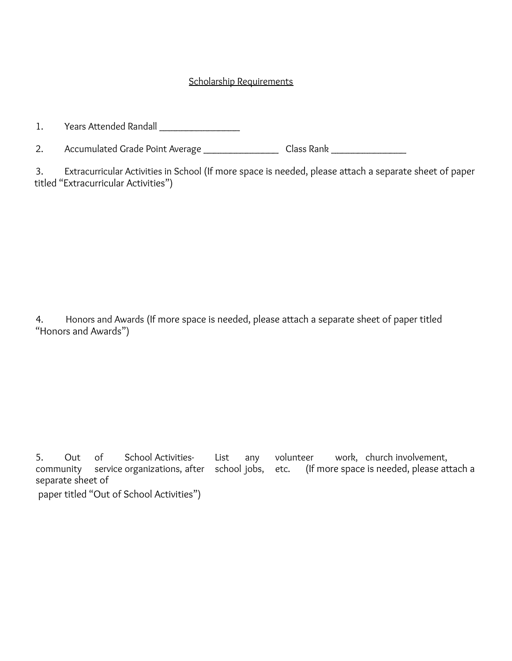## Scholarship Requirements

1. Years Attended Randall \_\_\_\_\_\_\_\_\_\_\_\_\_\_\_

2. Accumulated Grade Point Average \_\_\_\_\_\_\_\_\_\_\_\_\_\_\_\_\_\_ Class Rank \_\_\_\_\_\_\_\_\_\_\_\_\_\_\_

3. Extracurricular Activities in School (If more space is needed, please attach a separate sheet of paper titled "Extracurricular Activities")

4. Honors and Awards (If more space is needed, please attach a separate sheet of paper titled "Honors and Awards")

5. Out of School Activities- List any volunteer work, church involvement, community service organizations, after school jobs, etc. (If more space is needed, please attach a separate sheet of paper titled "Out of School Activities")